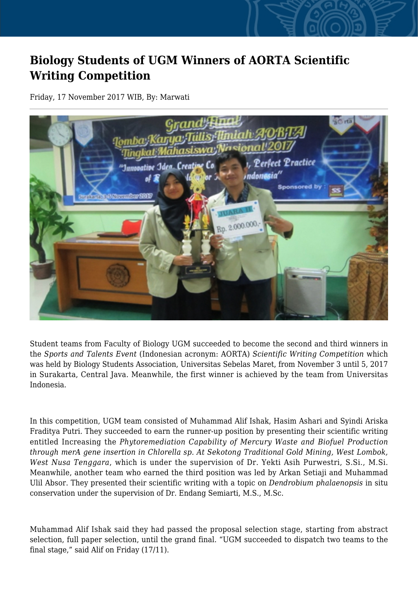## **Biology Students of UGM Winners of AORTA Scientific Writing Competition**

Friday, 17 November 2017 WIB, By: Marwati



Student teams from Faculty of Biology UGM succeeded to become the second and third winners in the *Sports and Talents Event* (Indonesian acronym: AORTA) *Scientific Writing Competition* which was held by Biology Students Association, Universitas Sebelas Maret, from November 3 until 5, 2017 in Surakarta, Central Java. Meanwhile, the first winner is achieved by the team from Universitas Indonesia.

In this competition, UGM team consisted of Muhammad Alif Ishak, Hasim Ashari and Syindi Ariska Fraditya Putri. They succeeded to earn the runner-up position by presenting their scientific writing entitled Increasing the *Phytoremediation Capability of Mercury Waste and Biofuel Production through merA gene insertion in Chlorella sp. At Sekotong Traditional Gold Mining, West Lombok, West Nusa Tenggara*, which is under the supervision of Dr. Yekti Asih Purwestri, S.Si., M.Si. Meanwhile, another team who earned the third position was led by Arkan Setiaji and Muhammad Ulil Absor. They presented their scientific writing with a topic on *Dendrobium phalaenopsis* in situ conservation under the supervision of Dr. Endang Semiarti, M.S., M.Sc.

Muhammad Alif Ishak said they had passed the proposal selection stage, starting from abstract selection, full paper selection, until the grand final. "UGM succeeded to dispatch two teams to the final stage," said Alif on Friday (17/11).